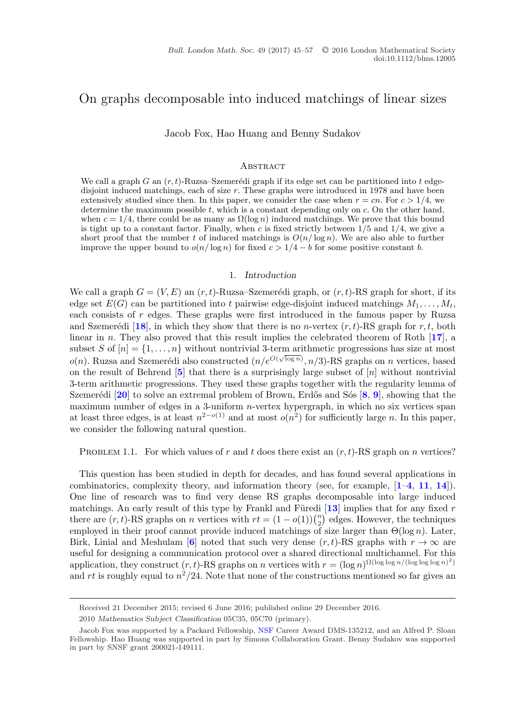# <span id="page-0-0"></span>On graphs decomposable into induced matchings of linear sizes

Jacob Fox, Hao Huang and Benny Sudakov

#### **ABSTRACT**

We call a graph G an  $(r, t)$ -Ruzsa–Szemerédi graph if its edge set can be partitioned into t edgedisjoint induced matchings, each of size r. These graphs were introduced in 1978 and have been extensively studied since then. In this paper, we consider the case when  $r = cn$ . For  $c > 1/4$ , we determine the maximum possible  $t$ , which is a constant depending only on  $c$ . On the other hand, when  $c = 1/4$ , there could be as many as  $\Omega(\log n)$  induced matchings. We prove that this bound is tight up to a constant factor. Finally, when c is fixed strictly between  $1/5$  and  $1/4$ , we give a short proof that the number t of induced matchings is  $O(n/\log n)$ . We are also able to further improve the upper bound to  $o(n/\log n)$  for fixed  $c > 1/4 - b$  for some positive constant b.

## 1. *Introduction*

We call a graph  $G = (V, E)$  an  $(r, t)$ -Ruzsa–Szemerédi graph, or  $(r, t)$ -RS graph for short, if its edge set  $E(G)$  can be partitioned into t pairwise edge-disjoint induced matchings  $M_1, \ldots, M_t$ , each consists of r edges. These graphs were first introduced in the famous paper by Ruzsa and Szemerédi [[18](#page-11-0)], in which they show that there is no n-vertex  $(r, t)$ -RS graph for r, t, both linear in n. They also proved that this result implies the celebrated theorem of Roth [**[17](#page-11-0)**], a subset S of  $[n] = \{1, \ldots, n\}$  without nontrivial 3-term arithmetic progressions has size at most  $o(n)$ . Ruzsa and Szemerédi also constructed  $(n/e^{O(\sqrt{\log n})}, n/3)$ -RS graphs on n vertices, based on the result of Behrend  $[5]$  $[5]$  $[5]$  that there is a surprisingly large subset of  $[n]$  without nontrivial 3-term arithmetic progressions. They used these graphs together with the regularity lemma of Szemerédi [[20](#page-12-0)] to solve an extremal problem of Brown, Erdős and Sós [[8](#page-11-0), [9](#page-11-0)], showing that the maximum number of edges in a 3-uniform  $n$ -vertex hypergraph, in which no six vertices span at least three edges, is at least  $n^{2-o(1)}$  and at most  $o(n^2)$  for sufficiently large n. In this paper, we consider the following natural question.

PROBLEM 1.1. For which values of r and t does there exist an  $(r, t)$ -RS graph on n vertices?

This question has been studied in depth for decades, and has found several applications in combinatorics, complexity theory, and information theory (see, for example, [**[1](#page-11-0)**–**[4](#page-11-0)**, **[11](#page-11-0)**, **[14](#page-11-0)**]). One line of research was to find very dense RS graphs decomposable into large induced matchings. An early result of this type by Frankl and Füredi  $\left[13\right]$  $\left[13\right]$  $\left[13\right]$  implies that for any fixed r there are  $(r, t)$ -RS graphs on *n* vertices with  $rt = (1 - o(1))\binom{n}{2}$  $n \choose 2$  edges. However, the techniques employed in their proof cannot provide induced matchings of size larger than  $\Theta(\log n)$ . Later, Birk, Linial and Meshulam [[6](#page-11-0)] noted that such very dense  $(r, t)$ -RS graphs with  $r \to \infty$  are useful for designing a communication protocol over a shared directional multichannel. For this application, they construct  $(r, t)$ -RS graphs on n vertices with  $r = (\log n)^{\Omega(\log \log n/(\log \log n)^2)}$ and rt is roughly equal to  $n^2/24$ . Note that none of the constructions mentioned so far gives an

Received 21 December 2015; revised 6 June 2016; published online 29 December 2016.

<sup>2010</sup> *Mathematics Subject Classification* 05C35, 05C70 (primary).

Jacob Fox was supported by a Packard Fellowship, NSF Career Award DMS-135212, and an Alfred P. Sloan Fellowship. Hao Huang was supported in part by Simons Collaboration Grant. Benny Sudakov was supported in part by SNSF grant 200021-149111.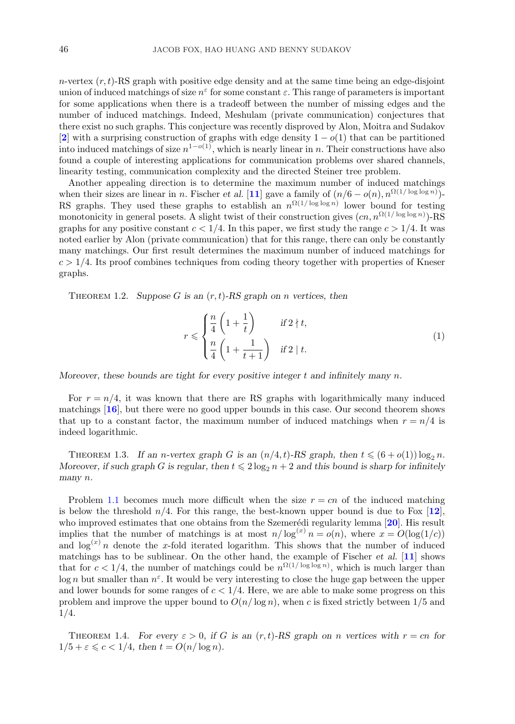<span id="page-1-0"></span> $n$ -vertex  $(r, t)$ -RS graph with positive edge density and at the same time being an edge-disjoint union of induced matchings of size  $n^{\varepsilon}$  for some constant  $\varepsilon$ . This range of parameters is important for some applications when there is a tradeoff between the number of missing edges and the number of induced matchings. Indeed, Meshulam (private communication) conjectures that there exist no such graphs. This conjecture was recently disproved by Alon, Moitra and Sudakov [**[2](#page-11-0)**] with a surprising construction of graphs with edge density  $1 - o(1)$  that can be partitioned into induced matchings of size  $n^{1-o(1)}$ , which is nearly linear in n. Their constructions have also found a couple of interesting applications for communication problems over shared channels, linearity testing, communication complexity and the directed Steiner tree problem.

Another appealing direction is to determine the maximum number of induced matchings when their sizes are linear in n. Fischer *et al.* [[11](#page-11-0)] gave a family of  $(n/6 - o(n), n^{\Omega(1/\log \log n)})$ -RS graphs. They used these graphs to establish an  $n^{\Omega(1/\log \log n)}$  lower bound for testing monotonicity in general posets. A slight twist of their construction gives  $(cn, n^{\Omega(1/\log \log n)})$ -RS graphs for any positive constant  $c < 1/4$ . In this paper, we first study the range  $c > 1/4$ . It was noted earlier by Alon (private communication) that for this range, there can only be constantly many matchings. Our first result determines the maximum number of induced matchings for  $c > 1/4$ . Its proof combines techniques from coding theory together with properties of Kneser graphs.

THEOREM 1.2. *Suppose G* is an  $(r, t)$ -RS graph on *n* vertices, then

$$
r \leqslant \begin{cases} \frac{n}{4} \left( 1 + \frac{1}{t} \right) & \text{if } 2 \nmid t, \\ \frac{n}{4} \left( 1 + \frac{1}{t+1} \right) & \text{if } 2 \mid t. \end{cases} \tag{1}
$$

*Moreover, these bounds are tight for every positive integer* t *and infinitely many* n*.*

For  $r = n/4$ , it was known that there are RS graphs with logarithmically many induced matchings [**[16](#page-11-0)**], but there were no good upper bounds in this case. Our second theorem shows that up to a constant factor, the maximum number of induced matchings when  $r = n/4$  is indeed logarithmic.

THEOREM 1.3. If an *n*-vertex graph G is an  $(n/4, t)$ -RS graph, then  $t \leq (6 + o(1)) \log_2 n$ . *Moreover, if such graph G is regular, then*  $t \le 2 \log_2 n + 2$  *and this bound is sharp for infinitely many* n*.*

Problem [1.1](#page-0-0) becomes much more difficult when the size  $r = cn$  of the induced matching is below the threshold  $n/4$ . For this range, the best-known upper bound is due to Fox  $[12]$  $[12]$  $[12]$ , who improved estimates that one obtains from the Szemerédi regularity lemma [[20](#page-12-0)]. His result implies that the number of matchings is at most  $n/\log^{(x)} n = o(n)$ , where  $x = O(\log(1/c))$ and  $\log^{(x)} n$  denote the x-fold iterated logarithm. This shows that the number of induced matchings has to be sublinear. On the other hand, the example of Fischer *et al.* [**[11](#page-11-0)**] shows that for  $c < 1/4$ , the number of matchings could be  $n^{\Omega(1/\log \log n)}$ , which is much larger than log n but smaller than  $n^{\epsilon}$ . It would be very interesting to close the huge gap between the upper and lower bounds for some ranges of  $c < 1/4$ . Here, we are able to make some progress on this problem and improve the upper bound to  $O(n/\log n)$ , when c is fixed strictly between 1/5 and 1/4.

THEOREM 1.4. For every  $\varepsilon > 0$ , if G is an  $(r, t)$ -RS graph on n vertices with  $r = cn$  for  $1/5 + \varepsilon \leqslant c < 1/4$ , then  $t = O(n/\log n)$ .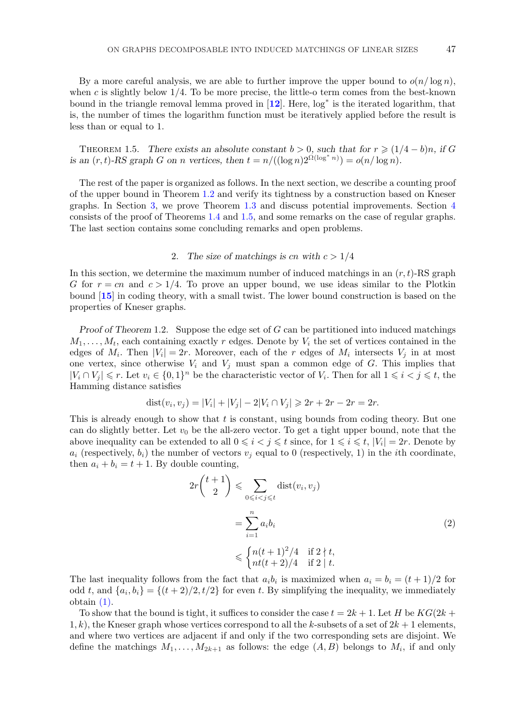<span id="page-2-0"></span>By a more careful analysis, we are able to further improve the upper bound to  $o(n/\log n)$ , when c is slightly below  $1/4$ . To be more precise, the little-o term comes from the best-known bound in the triangle removal lemma proved in [**[12](#page-11-0)**]. Here, log<sup>∗</sup> is the iterated logarithm, that is, the number of times the logarithm function must be iteratively applied before the result is less than or equal to 1.

THEOREM 1.5. *There exists an absolute constant*  $b > 0$ *, such that for*  $r \geq (1/4 - b)n$ *, if* G *is an*  $(r, t)$ -RS graph G on n vertices, then  $t = n/((\log n)2^{\Omega(\log^* n)}) = o(n/\log n)$ .

The rest of the paper is organized as follows. In the next section, we describe a counting proof of the upper bound in Theorem [1.2](#page-1-0) and verify its tightness by a construction based on Kneser graphs. In Section [3,](#page-3-0) we prove Theorem [1.3](#page-1-0) and discuss potential improvements. Section [4](#page-7-0) consists of the proof of Theorems [1.4](#page-1-0) and 1.5, and some remarks on the case of regular graphs. The last section contains some concluding remarks and open problems.

### 2. The size of matchings is cn with  $c > 1/4$

In this section, we determine the maximum number of induced matchings in an  $(r, t)$ -RS graph G for  $r = cn$  and  $c > 1/4$ . To prove an upper bound, we use ideas similar to the Plotkin bound [**[15](#page-11-0)**] in coding theory, with a small twist. The lower bound construction is based on the properties of Kneser graphs.

*Proof of Theorem* 1.2. Suppose the edge set of G can be partitioned into induced matchings  $M_1,\ldots,M_t$ , each containing exactly r edges. Denote by  $V_i$  the set of vertices contained in the edges of  $M_i$ . Then  $|V_i| = 2r$ . Moreover, each of the r edges of  $M_i$  intersects  $V_i$  in at most one vertex, since otherwise  $V_i$  and  $V_j$  must span a common edge of G. This implies that  $|V_i \cap V_j| \leq r$ . Let  $v_i \in \{0,1\}^n$  be the characteristic vector of  $V_i$ . Then for all  $1 \leq i < j \leq t$ , the Hamming distance satisfies

$$
dist(v_i, v_j) = |V_i| + |V_j| - 2|V_i \cap V_j| \ge 2r + 2r - 2r = 2r.
$$

This is already enough to show that t is constant, using bounds from coding theory. But one can do slightly better. Let  $v_0$  be the all-zero vector. To get a tight upper bound, note that the above inequality can be extended to all  $0 \leq i < j \leq t$  since, for  $1 \leq i \leq t$ ,  $|V_i| = 2r$ . Denote by  $a_i$  (respectively,  $b_i$ ) the number of vectors  $v_i$  equal to 0 (respectively, 1) in the *i*th coordinate, then  $a_i + b_i = t + 1$ . By double counting,

$$
2r\binom{t+1}{2} \leqslant \sum_{0 \leqslant i < j \leqslant t} \text{dist}(v_i, v_j)
$$
\n
$$
= \sum_{i=1}^n a_i b_i
$$
\n
$$
\leqslant \begin{cases} n(t+1)^2/4 & \text{if } 2 \nmid t, \\ nt(t+2)/4 & \text{if } 2 \mid t. \end{cases} \tag{2}
$$

The last inequality follows from the fact that  $a_i b_i$  is maximized when  $a_i = b_i = (t+1)/2$  for odd t, and  $\{a_i, b_i\} = \{(t+2)/2, t/2\}$  for even t. By simplifying the inequality, we immediately obtain [\(1\).](#page-1-0)

To show that the bound is tight, it suffices to consider the case  $t = 2k + 1$ . Let H be  $KG(2k +$  $1, k$ , the Kneser graph whose vertices correspond to all the k-subsets of a set of  $2k + 1$  elements, and where two vertices are adjacent if and only if the two corresponding sets are disjoint. We define the matchings  $M_1, \ldots, M_{2k+1}$  as follows: the edge  $(A, B)$  belongs to  $M_i$ , if and only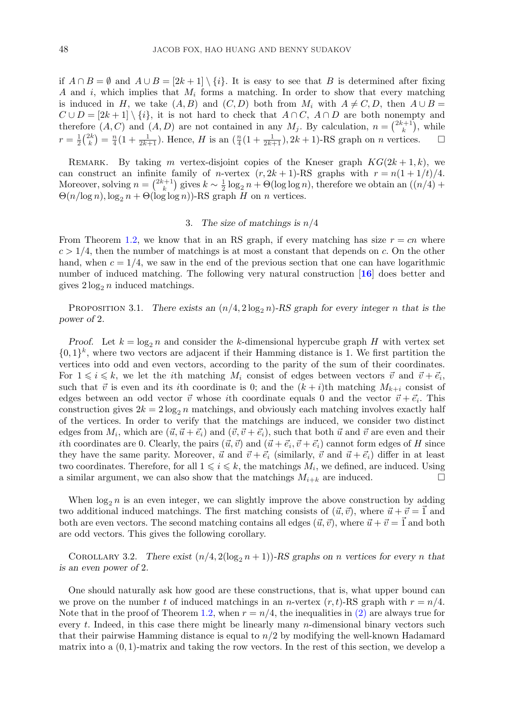<span id="page-3-0"></span>if  $A \cap B = \emptyset$  and  $A \cup B = [2k+1] \setminus \{i\}$ . It is easy to see that B is determined after fixing A and i, which implies that  $M_i$  forms a matching. In order to show that every matching is induced in H, we take  $(A, B)$  and  $(C, D)$  both from  $M_i$  with  $A \neq C, D$ , then  $A \cup B =$  $C \cup D = [2k+1] \setminus \{i\}$ , it is not hard to check that  $A \cap C$ ,  $A \cap D$  are both nonempty and therefore  $(A, C)$  and  $(A, D)$  are not contained in any  $M_j$ . By calculation,  $n = \binom{2k+1}{k}$ , while  $r = \frac{1}{2} {2k \choose k} = \frac{n}{4} (1 + \frac{1}{2k+1})$ . Hence, H is an  $(\frac{n}{4}(1 + \frac{1}{2k+1}), 2k+1)$ -RS graph on n vertices.

REMARK. By taking m vertex-disjoint copies of the Kneser graph  $KG(2k+1, k)$ , we can construct an infinite family of *n*-vertex  $(r, 2k + 1)$ -RS graphs with  $r = n(1 + 1/t)/4$ . Moreover, solving  $n = \binom{2k+1}{k}$  gives  $k \sim \frac{1}{2} \log_2 n + \Theta(\log \log n)$ , therefore we obtain an  $\left(\frac{n}{4}\right) +$  $\Theta(n/\log n), \log_2 n + \Theta(\log \log n)$ -RS graph H on n vertices.

## 3. *The size of matchings is* n/4

From Theorem [1.2,](#page-1-0) we know that in an RS graph, if every matching has size  $r = cn$  where  $c > 1/4$ , then the number of matchings is at most a constant that depends on c. On the other hand, when  $c = 1/4$ , we saw in the end of the previous section that one can have logarithmic number of induced matching. The following very natural construction [**[16](#page-11-0)**] does better and gives  $2\log_2 n$  induced matchings.

PROPOSITION 3.1. There exists an  $(n/4, 2\log_2 n)$ -RS graph for every integer n that is the *power of* 2*.*

*Proof.* Let  $k = \log_2 n$  and consider the k-dimensional hypercube graph H with vertex set  $\{0,1\}^k$ , where two vectors are adjacent if their Hamming distance is 1. We first partition the vertices into odd and even vectors, according to the parity of the sum of their coordinates. For  $1 \leq i \leq k$ , we let the *i*th matching  $M_i$  consist of edges between vectors  $\vec{v}$  and  $\vec{v} + \vec{e}_i$ , such that  $\vec{v}$  is even and its ith coordinate is 0; and the  $(k+i)$ th matching  $M_{k+i}$  consist of edges between an odd vector  $\vec{v}$  whose ith coordinate equals 0 and the vector  $\vec{v} + \vec{e}_i$ . This construction gives  $2k = 2\log_2 n$  matchings, and obviously each matching involves exactly half of the vertices. In order to verify that the matchings are induced, we consider two distinct edges from  $M_i$ , which are  $(\vec{u}, \vec{u} + \vec{e_i})$  and  $(\vec{v}, \vec{v} + \vec{e_i})$ , such that both  $\vec{u}$  and  $\vec{v}$  are even and their ith coordinates are 0. Clearly, the pairs  $(\vec{u}, \vec{v})$  and  $(\vec{u} + \vec{e_i}, \vec{v} + \vec{e_i})$  cannot form edges of H since they have the same parity. Moreover,  $\vec{u}$  and  $\vec{v} + \vec{e}_i$  (similarly,  $\vec{v}$  and  $\vec{u} + \vec{e}_i$ ) differ in at least two coordinates. Therefore, for all  $1 \leq i \leq k$ , the matchings  $M_i$ , we defined, are induced. Using a similar argument, we can also show that the matchings  $M_{i+k}$  are induced.

When  $\log_2 n$  is an even integer, we can slightly improve the above construction by adding two additional induced matchings. The first matching consists of  $(\vec{u}, \vec{v})$ , where  $\vec{u} + \vec{v} = \vec{1}$  and both are even vectors. The second matching contains all edges  $(\vec{u}, \vec{v})$ , where  $\vec{u} + \vec{v} = \vec{1}$  and both are odd vectors. This gives the following corollary.

COROLLARY 3.2. There exist  $(n/4, 2(\log_2 n + 1))$ -RS graphs on *n* vertices for every *n* that *is an even power of* 2*.*

One should naturally ask how good are these constructions, that is, what upper bound can we prove on the number t of induced matchings in an n-vertex  $(r, t)$ -RS graph with  $r = n/4$ . Note that in the proof of Theorem [1.2,](#page-1-0) when  $r = n/4$ , the inequalities in [\(2\)](#page-2-0) are always true for every t. Indeed, in this case there might be linearly many n-dimensional binary vectors such that their pairwise Hamming distance is equal to  $n/2$  by modifying the well-known Hadamard matrix into a  $(0, 1)$ -matrix and taking the row vectors. In the rest of this section, we develop a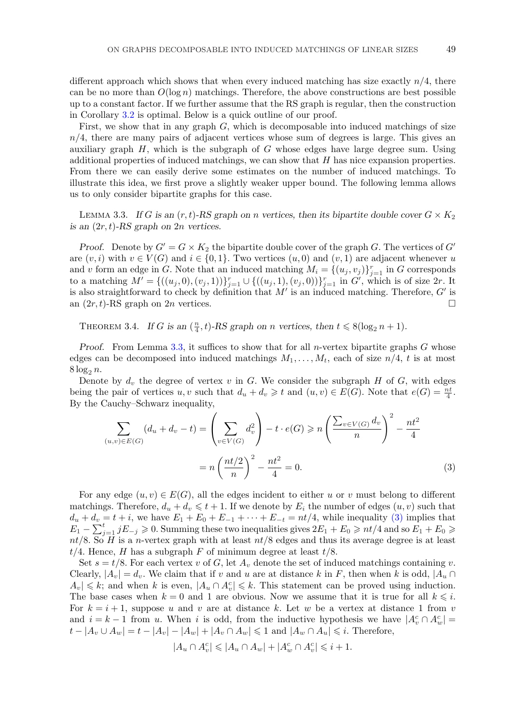<span id="page-4-0"></span>different approach which shows that when every induced matching has size exactly  $n/4$ , there can be no more than  $O(\log n)$  matchings. Therefore, the above constructions are best possible up to a constant factor. If we further assume that the RS graph is regular, then the construction in Corollary [3.2](#page-3-0) is optimal. Below is a quick outline of our proof.

First, we show that in any graph  $G$ , which is decomposable into induced matchings of size  $n/4$ , there are many pairs of adjacent vertices whose sum of degrees is large. This gives an auxiliary graph  $H$ , which is the subgraph of  $G$  whose edges have large degree sum. Using additional properties of induced matchings, we can show that  $H$  has nice expansion properties. From there we can easily derive some estimates on the number of induced matchings. To illustrate this idea, we first prove a slightly weaker upper bound. The following lemma allows us to only consider bipartite graphs for this case.

LEMMA 3.3. If G is an  $(r, t)$ -RS graph on *n* vertices, then its bipartite double cover  $G \times K_2$ *is an* (2r, t)*-RS graph on* 2n *vertices.*

*Proof.* Denote by  $G' = G \times K_2$  the bipartite double cover of the graph G. The vertices of  $G'$ are  $(v, i)$  with  $v \in V(G)$  and  $i \in \{0, 1\}$ . Two vertices  $(u, 0)$  and  $(v, 1)$  are adjacent whenever u and v form an edge in G. Note that an induced matching  $M_i = \{(u_j, v_j)\}_{j=1}^r$  in G corresponds to a matching  $M' = \{((u_j, 0), (v_j, 1))\}_{j=1}^r \cup \{((u_j, 1), (v_j, 0))\}_{j=1}^r$  in  $G'$ , which is of size  $2r$ . It is also straightforward to check by definition that  $M'$  is an induced matching. Therefore,  $G'$  is an  $(2r, t)$ -RS graph on  $2n$  vertices.

THEOREM 3.4. *If* G is an  $(\frac{n}{4}, t)$ -RS graph on *n* vertices, then  $t \le 8(\log_2 n + 1)$ .

*Proof.* From Lemma 3.3, it suffices to show that for all *n*-vertex bipartite graphs G whose edges can be decomposed into induced matchings  $M_1, \ldots, M_t$ , each of size  $n/4$ , t is at most  $8\log_2 n$ .

Denote by  $d_v$  the degree of vertex v in G. We consider the subgraph H of G, with edges being the pair of vertices u, v such that  $d_u + d_v \geq t$  and  $(u, v) \in E(G)$ . Note that  $e(G) = \frac{nt}{4}$ . By the Cauchy–Schwarz inequality,

$$
\sum_{(u,v)\in E(G)} (d_u + d_v - t) = \left(\sum_{v\in V(G)} d_v^2\right) - t \cdot e(G) \ge n \left(\frac{\sum_{v\in V(G)} d_v}{n}\right)^2 - \frac{nt^2}{4}
$$

$$
= n \left(\frac{nt/2}{n}\right)^2 - \frac{nt^2}{4} = 0.
$$
(3)

For any edge  $(u, v) \in E(G)$ , all the edges incident to either u or v must belong to different matchings. Therefore,  $d_u + d_v \leqslant t + 1$ . If we denote by  $E_i$  the number of edges  $(u, v)$  such that  $d_u + d_v = t + i$ , we have  $E_1 + E_0 + E_{-1} + \cdots + E_{-t} = nt/4$ , while inequality (3) implies that  $E_1 - \sum_{j=1}^t jE_{-j} \geq 0$ . Summing these two inequalities gives  $2E_1 + E_0 \geq n t/4$  and so  $E_1 + E_0 \geq 0$ .  $nt/8$ . So H is a n-vertex graph with at least  $nt/8$  edges and thus its average degree is at least  $t/4$ . Hence, H has a subgraph F of minimum degree at least  $t/8$ .

Set  $s = t/8$ . For each vertex v of G, let  $A_v$  denote the set of induced matchings containing v. Clearly,  $|A_v| = d_v$ . We claim that if v and u are at distance k in F, then when k is odd,  $|A_u \cap$  $A_v|\leq k$ ; and when k is even,  $|A_u \cap A_v^c| \leq k$ . This statement can be proved using induction. The base cases when  $k = 0$  and 1 are obvious. Now we assume that it is true for all  $k \leq i$ . For  $k = i + 1$ , suppose u and v are at distance k. Let w be a vertex at distance 1 from v and  $i = k - 1$  from u. When i is odd, from the inductive hypothesis we have  $|A_v^c \cap A_w^c|$  $t - |A_v \cup A_w| = t - |A_v| - |A_w| + |A_v \cap A_w| \leq 1$  and  $|A_w \cap A_u| \leq i$ . Therefore,

$$
|A_u \cap A_v^c| \leqslant |A_u \cap A_w| + |A_w^c \cap A_v^c| \leqslant i+1.
$$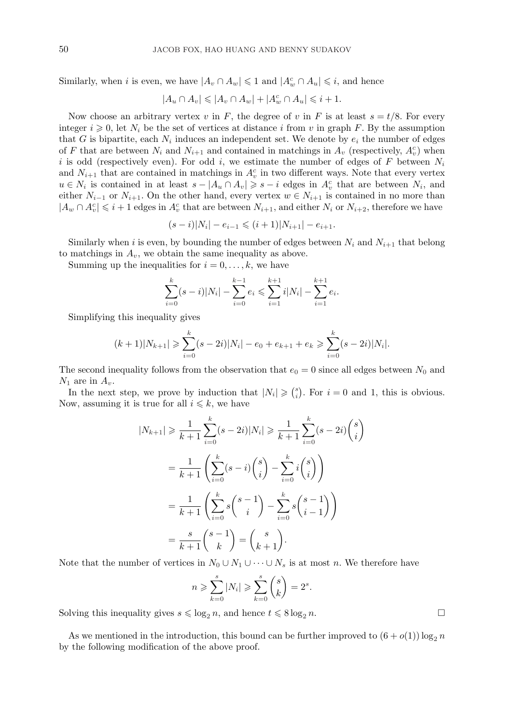Similarly, when *i* is even, we have  $|A_v \cap A_w| \leq 1$  and  $|A_w^c \cap A_u| \leq i$ , and hence

 $|A_u \cap A_v| \leqslant |A_v \cap A_w| + |A_w^c \cap A_u| \leqslant i + 1.$ 

Now choose an arbitrary vertex v in F, the degree of v in F is at least  $s = t/8$ . For every integer  $i \geq 0$ , let  $N_i$  be the set of vertices at distance i from v in graph F. By the assumption that G is bipartite, each  $N_i$  induces an independent set. We denote by  $e_i$  the number of edges of F that are between  $N_i$  and  $N_{i+1}$  and contained in matchings in  $A_v$  (respectively,  $A_v^c$ ) when i is odd (respectively even). For odd i, we estimate the number of edges of F between  $N_i$ and  $N_{i+1}$  that are contained in matchings in  $A_v^c$  in two different ways. Note that every vertex  $u \in N_i$  is contained in at least  $s - |A_u \cap A_v| \geq s - i$  edges in  $A_v^c$  that are between  $N_i$ , and either  $N_{i-1}$  or  $N_{i+1}$ . On the other hand, every vertex  $w \in N_{i+1}$  is contained in no more than  $|A_w \cap A_v^c| \leq i+1$  edges in  $A_v^c$  that are between  $N_{i+1}$ , and either  $N_i$  or  $N_{i+2}$ , therefore we have

$$
(s-i)|N_i| - e_{i-1} \leq (i+1)|N_{i+1}| - e_{i+1}.
$$

Similarly when i is even, by bounding the number of edges between  $N_i$  and  $N_{i+1}$  that belong to matchings in  $A_v$ , we obtain the same inequality as above.

Summing up the inequalities for  $i = 0, \ldots, k$ , we have

$$
\sum_{i=0}^{k} (s-i)|N_i| - \sum_{i=0}^{k-1} e_i \leqslant \sum_{i=1}^{k+1} i|N_i| - \sum_{i=1}^{k+1} e_i.
$$

Simplifying this inequality gives

$$
(k+1)|N_{k+1}| \geqslant \sum_{i=0}^{k} (s-2i)|N_i| - e_0 + e_{k+1} + e_k \geqslant \sum_{i=0}^{k} (s-2i)|N_i|.
$$

The second inequality follows from the observation that  $e_0 = 0$  since all edges between  $N_0$  and  $N_1$  are in  $A_v$ .

In the next step, we prove by induction that  $|N_i| \geqslant {s \choose i}$ . For  $i = 0$  and 1, this is obvious. Now, assuming it is true for all  $i \leq k$ , we have

$$
|N_{k+1}| \geq \frac{1}{k+1} \sum_{i=0}^{k} (s-2i)|N_i| \geq \frac{1}{k+1} \sum_{i=0}^{k} (s-2i) {s \choose i}
$$
  
= 
$$
\frac{1}{k+1} \left( \sum_{i=0}^{k} (s-i) {s \choose i} - \sum_{i=0}^{k} i {s \choose i} \right)
$$
  
= 
$$
\frac{1}{k+1} \left( \sum_{i=0}^{k} s {s-1 \choose i} - \sum_{i=0}^{k} s {s-1 \choose i-1} \right)
$$
  
= 
$$
\frac{s}{k+1} {s-1 \choose k} = {s \choose k+1}.
$$

Note that the number of vertices in  $N_0 \cup N_1 \cup \cdots \cup N_s$  is at most n. We therefore have

$$
n \ge \sum_{k=0}^{s} |N_i| \ge \sum_{k=0}^{s} {s \choose k} = 2^s.
$$

Solving this inequality gives  $s \leq \log_2 n$ , and hence  $t \leq 8 \log_2 n$ .

As we mentioned in the introduction, this bound can be further improved to  $(6 + o(1)) \log_2 n$ by the following modification of the above proof.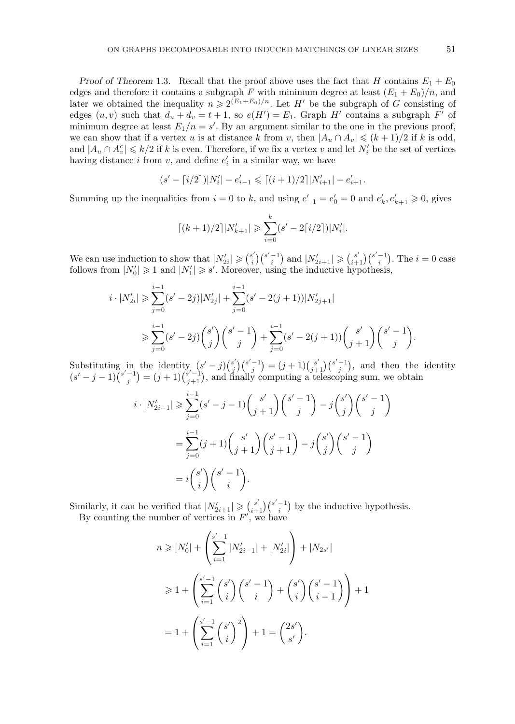*Proof of Theorem* 1.3. Recall that the proof above uses the fact that H contains  $E_1 + E_0$ edges and therefore it contains a subgraph F with minimum degree at least  $(E_1 + E_0)/n$ , and later we obtained the inequality  $n \geq 2^{(E_1+E_0)/n}$ . Let H' be the subgraph of G consisting of edges  $(u, v)$  such that  $d_u + d_v = t + 1$ , so  $e(H') = E_1$ . Graph H' contains a subgraph F' of minimum degree at least  $E_1/n = s'$ . By an argument similar to the one in the previous proof, we can show that if a vertex u is at distance k from v, then  $|A_u \cap A_v| \leq (k+1)/2$  if k is odd, and  $|A_u \cap A_v^c| \leq k/2$  if k is even. Therefore, if we fix a vertex v and let  $N_i'$  be the set of vertices having distance *i* from *v*, and define  $e'_i$  in a similar way, we have

$$
(s'-\lceil i/2 \rceil)|N_i'| - e_{i-1}' \leqslant \lceil (i+1)/2 \rceil |N_{i+1}'| - e_{i+1}'.
$$

Summing up the inequalities from  $i = 0$  to k, and using  $e'_{-1} = e'_{0} = 0$  and  $e'_{k}$ ,  $e'_{k+1} \geq 0$ , gives

$$
\lceil (k+1)/2 \rceil |N'_{k+1}| \geqslant \sum_{i=0}^{k} (s'-2\lceil i/2 \rceil)|N'_{i}|.
$$

We can use induction to show that  $|N'_{2i}| \geqslant {\binom{s'}{i}} {\binom{s'-1}{i}}$  and  $|N'_{2i+1}| \geqslant {\binom{s'}{i+1}} {\binom{s'-1}{i}}$ . The  $i=0$  case follows from  $|N'_0| \geq 1$  and  $|N'_1| \geq s'$ . Moreover, using the inductive hypothesis,

$$
i \cdot |N'_{2i}| \geqslant \sum_{j=0}^{i-1} (s'-2j)|N'_{2j}| + \sum_{j=0}^{i-1} (s'-2(j+1))|N'_{2j+1}|
$$
  

$$
\geqslant \sum_{j=0}^{i-1} (s'-2j) {s' \choose j} {s'-1 \choose j} + \sum_{j=0}^{i-1} (s'-2(j+1)) {s' \choose j+1} {s'-1 \choose j}
$$

Substituting in the identity  $(s'-j)\binom{s'}{j}\binom{s'-1}{j} = (j+1)\binom{s'}{j+1}\binom{s'-1}{j}$ , and then the identity  $(s'-j-1)\binom{s'-1}{j}=(j+1)\binom{s'-1}{j+1}$ , and finally computing a telescoping sum, we obtain

$$
i \cdot |N'_{2i-1}| \geq \sum_{j=0}^{i-1} (s'-j-1) {s' \choose j+1} {s'-1 \choose j} - j {s' \choose j} {s'-1 \choose j}
$$
  
= 
$$
\sum_{j=0}^{i-1} (j+1) {s' \choose j+1} {s'-1 \choose j+1} - j {s' \choose j} {s'-1 \choose j}
$$
  
= 
$$
i {s' \choose i} {s'-1 \choose i}.
$$

Similarly, it can be verified that  $|N'_{2i+1}| \geq {s' \choose i+1} {s'-1 \choose i}$  by the inductive hypothesis.

By counting the number of vertices in  $F'$ , we have

$$
n \geq |N'_0| + \left(\sum_{i=1}^{s'-1} |N'_{2i-1}| + |N'_{2i}|\right) + |N_{2s'}|
$$
  

$$
\geq 1 + \left(\sum_{i=1}^{s'-1} {s' \choose i} {s'-1 \choose i} + {s' \choose i} {s'-1 \choose i-1}\right) + 1
$$
  

$$
= 1 + \left(\sum_{i=1}^{s'-1} {s' \choose i}^2\right) + 1 = {2s' \choose s'}.
$$

.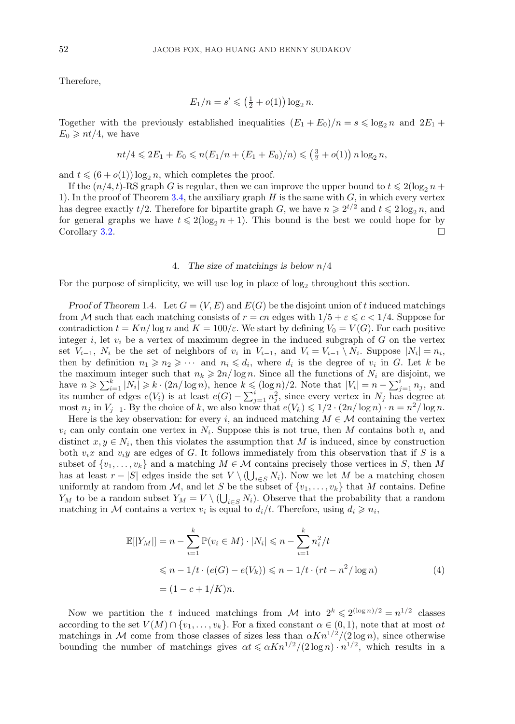<span id="page-7-0"></span>Therefore,

$$
E_1/n = s' \le (\frac{1}{2} + o(1)) \log_2 n.
$$

Together with the previously established inequalities  $(E_1 + E_0)/n = s \le \log_2 n$  and  $2E_1 +$  $E_0 \geqslant nt/4$ , we have

$$
nt/4 \leq 2E_1 + E_0 \leq n(E_1/n + (E_1 + E_0)/n) \leq (\frac{3}{2} + o(1)) n \log_2 n,
$$

and  $t \leqslant (6 + o(1)) \log_2 n$ , which completes the proof.

If the  $(n/4, t)$ -RS graph G is regular, then we can improve the upper bound to  $t \leq 2(\log_2 n +$ 1). In the proof of Theorem [3.4,](#page-4-0) the auxiliary graph  $H$  is the same with  $G$ , in which every vertex has degree exactly  $t/2$ . Therefore for bipartite graph G, we have  $n \ge 2^{t/2}$  and  $t \le 2\log_2 n$ , and for general graphs we have  $t \leq 2(\log_2 n + 1)$ . This bound is the best we could hope for by Corollary [3.2.](#page-3-0)

### 4. *The size of matchings is below* n/4

For the purpose of simplicity, we will use log in place of  $log_2$  throughout this section.

*Proof of Theorem* 1.4. Let  $G = (V, E)$  and  $E(G)$  be the disjoint union of t induced matchings from M such that each matching consists of  $r = cn$  edges with  $1/5 + \varepsilon \leqslant c < 1/4$ . Suppose for contradiction  $t = Kn/\log n$  and  $K = 100/\varepsilon$ . We start by defining  $V_0 = V(G)$ . For each positive integer i, let  $v_i$  be a vertex of maximum degree in the induced subgraph of G on the vertex set  $V_{i-1}$ ,  $N_i$  be the set of neighbors of  $v_i$  in  $V_{i-1}$ , and  $V_i = V_{i-1} \setminus N_i$ . Suppose  $|N_i| = n_i$ , then by definition  $n_1 \geqslant n_2 \geqslant \cdots$  and  $n_i \leqslant d_i$ , where  $d_i$  is the degree of  $v_i$  in G. Let k be the maximum integer such that  $n_k \geqslant 2n/\log n$ . Since all the functions of  $N_i$  are disjoint, we have  $n \ge \sum_{i=1}^k |N_i| \ge k \cdot (2n/\log n)$ , hence  $k \le (\log n)/2$ . Note that  $|V_i| = n - \sum_{j=1}^i n_j$ , and its number of edges  $e(V_i)$  is at least  $e(G) - \sum_{j=1}^{i} n_j^2$ , since every vertex in  $N_j$  has degree at most  $n_j$  in  $V_{j-1}$ . By the choice of k, we also know that  $e(V_k) \leq 1/2 \cdot (2n/\log n) \cdot n = n^2/\log n$ .

Here is the key observation: for every i, an induced matching  $M \in \mathcal{M}$  containing the vertex  $v_i$  can only contain one vertex in  $N_i$ . Suppose this is not true, then M contains both  $v_i$  and distinct  $x, y \in N_i$ , then this violates the assumption that M is induced, since by construction both  $v_i x$  and  $v_i y$  are edges of G. It follows immediately from this observation that if S is a subset of  $\{v_1,\ldots,v_k\}$  and a matching  $M \in \mathcal{M}$  contains precisely those vertices in S, then M has at least  $r - |S|$  edges inside the set  $V \setminus (\bigcup_{i \in S} N_i)$ . Now we let M be a matching chosen uniformly at random from M, and let S be the subset of  $\{v_1,\ldots,v_k\}$  that M contains. Define  $Y_M$  to be a random subset  $Y_M = V \setminus (\bigcup_{i \in S} N_i)$ . Observe that the probability that a random matching in M contains a vertex  $v_i$  is equal to  $d_i/t$ . Therefore, using  $d_i \geq n_i$ ,

$$
\mathbb{E}[|Y_M|] = n - \sum_{i=1}^k \mathbb{P}(v_i \in M) \cdot |N_i| \leq n - \sum_{i=1}^k n_i^2 / t
$$
  
\n
$$
\leq n - 1/t \cdot (e(G) - e(V_k)) \leq n - 1/t \cdot (rt - n^2 / \log n)
$$
  
\n
$$
= (1 - c + 1/K)n.
$$
 (4)

Now we partition the t induced matchings from M into  $2^k \leqslant 2^{(\log n)/2} = n^{1/2}$  classes according to the set  $V(M) \cap \{v_1,\ldots,v_k\}$ . For a fixed constant  $\alpha \in (0,1)$ , note that at most  $\alpha t$ matchings in M come from those classes of sizes less than  $\alpha Kn^{1/2}/(2\log n)$ , since otherwise bounding the number of matchings gives  $\alpha t \leq \alpha K n^{1/2} / (2 \log n) \cdot n^{1/2}$ , which results in a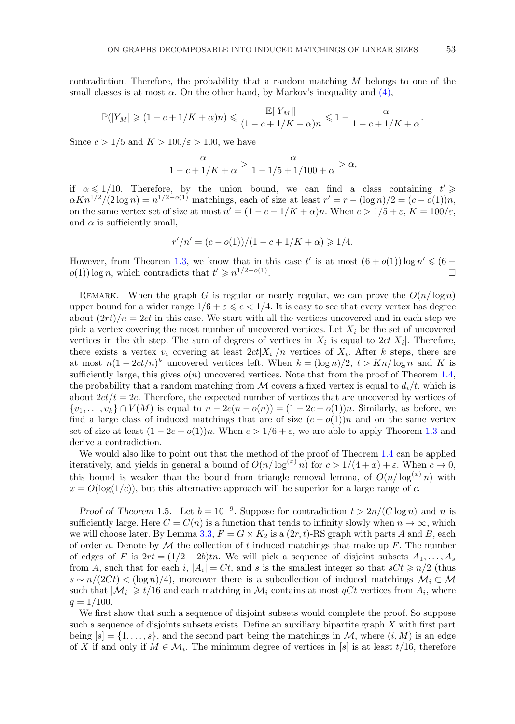contradiction. Therefore, the probability that a random matching  $M$  belongs to one of the small classes is at most  $\alpha$ . On the other hand, by Markov's inequality and [\(4\),](#page-7-0)

$$
\mathbb{P}(|Y_M| \geq (1-c+1/K+\alpha)n) \leq \frac{\mathbb{E}[|Y_M|]}{(1-c+1/K+\alpha)n} \leq 1-\frac{\alpha}{1-c+1/K+\alpha}.
$$

Since  $c > 1/5$  and  $K > 100/\varepsilon > 100$ , we have

$$
\frac{\alpha}{1-c+1/K+\alpha} > \frac{\alpha}{1-1/5+1/100+\alpha} > \alpha,
$$

if  $\alpha \leq 1/10$ . Therefore, by the union bound, we can find a class containing  $t' \geq 1/10$ .  $\alpha Kn^{1/2}/(2\log n) = n^{1/2-o(1)}$  matchings, each of size at least  $r' = r - (\log n)/2 = (c - o(1))n$ , on the same vertex set of size at most  $n' = (1 - c + 1/K + \alpha)n$ . When  $c > 1/5 + \varepsilon$ ,  $K = 100/\varepsilon$ , and  $\alpha$  is sufficiently small,

$$
r'/n' = (c - o(1))/(1 - c + 1/K + \alpha) \geq 1/4.
$$

However, from Theorem [1.3,](#page-1-0) we know that in this case t' is at most  $(6+o(1)) \log n' \leq 6+o(1)$  $o(1)$  log n, which contradicts that  $t' \geq n^{1/2-o(1)}$ .

REMARK. When the graph G is regular or nearly regular, we can prove the  $O(n/\log n)$ upper bound for a wider range  $1/6 + \varepsilon \leqslant c < 1/4$ . It is easy to see that every vertex has degree about  $(2rt)/n = 2ct$  in this case. We start with all the vertices uncovered and in each step we pick a vertex covering the most number of uncovered vertices. Let  $X_i$  be the set of uncovered vertices in the *i*th step. The sum of degrees of vertices in  $X_i$  is equal to  $2ct|X_i|$ . Therefore, there exists a vertex  $v_i$  covering at least  $2ct|X_i|/n$  vertices of  $X_i$ . After k steps, there are at most  $n(1-2ct/n)^k$  uncovered vertices left. When  $k = (\log n)/2$ ,  $t > Kn/\log n$  and K is sufficiently large, this gives  $o(n)$  uncovered vertices. Note that from the proof of Theorem [1.4,](#page-1-0) the probability that a random matching from M covers a fixed vertex is equal to  $d_i/t$ , which is about  $2ct/t = 2c$ . Therefore, the expected number of vertices that are uncovered by vertices of  $\{v_1,\ldots,v_k\} \cap V(M)$  is equal to  $n-2c(n-o(n)) = (1-2c+o(1))n$ . Similarly, as before, we find a large class of induced matchings that are of size  $(c - o(1))n$  and on the same vertex set of size at least  $(1 - 2c + o(1))n$ . When  $c > 1/6 + \varepsilon$ , we are able to apply Theorem [1.3](#page-1-0) and derive a contradiction.

We would also like to point out that the method of the proof of Theorem [1.4](#page-1-0) can be applied iteratively, and yields in general a bound of  $O(n/\log^{(x)} n)$  for  $c > 1/(4+x) + \varepsilon$ . When  $c \to 0$ , this bound is weaker than the bound from triangle removal lemma, of  $O(n/\log^{(x)} n)$  with  $x = O(\log(1/c))$ , but this alternative approach will be superior for a large range of c.

*Proof of Theorem* 1.5. Let  $b = 10^{-9}$ . Suppose for contradiction  $t > 2n/(C \log n)$  and n is sufficiently large. Here  $C = C(n)$  is a function that tends to infinity slowly when  $n \to \infty$ , which we will choose later. By Lemma [3.3,](#page-4-0)  $F = G \times K_2$  is a  $(2r, t)$ -RS graph with parts A and B, each of order n. Denote by  $\mathcal M$  the collection of t induced matchings that make up F. The number of edges of F is  $2rt = (1/2 - 2b)tn$ . We will pick a sequence of disjoint subsets  $A_1, \ldots, A_s$ from A, such that for each i,  $|A_i| = Ct$ , and s is the smallest integer so that  $sCt \ge n/2$  (thus  $s \sim n/(2Ct) < (\log n)/4$ , moreover there is a subcollection of induced matchings  $\mathcal{M}_i \subset \mathcal{M}_i$ such that  $|\mathcal{M}_i| \geq t/16$  and each matching in  $\mathcal{M}_i$  contains at most qCt vertices from  $A_i$ , where  $q = 1/100$ .

We first show that such a sequence of disjoint subsets would complete the proof. So suppose such a sequence of disjoints subsets exists. Define an auxiliary bipartite graph  $X$  with first part being  $[s] = \{1, \ldots, s\}$ , and the second part being the matchings in M, where  $(i, M)$  is an edge of X if and only if  $M \in \mathcal{M}_i$ . The minimum degree of vertices in [s] is at least t/16, therefore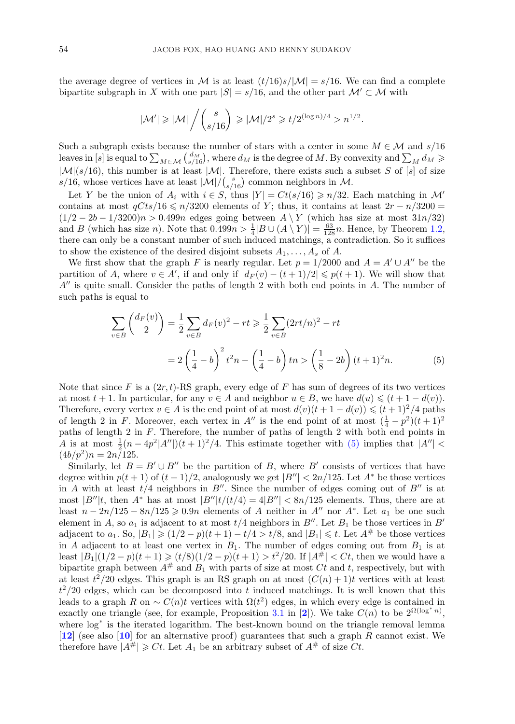the average degree of vertices in M is at least  $(t/16)s/|\mathcal{M}| = s/16$ . We can find a complete bipartite subgraph in X with one part  $|S| = s/16$ , and the other part  $\mathcal{M}' \subset \mathcal{M}$  with

$$
|\mathcal{M}'| \geqslant |\mathcal{M}| \left/ {s \choose s/16} \geqslant |\mathcal{M}|/2^s \geqslant t/2^{(\log n)/4} > n^{1/2}.
$$

Such a subgraph exists because the number of stars with a center in some  $M \in \mathcal{M}$  and  $s/16$ leaves in [s] is equal to  $\sum_{M \in \mathcal{M}} {d_M \choose s/16}$ , where  $d_M$  is the degree of M. By convexity and  $\sum_M d_M \ge$  $|\mathcal{M}|(s/16)$ , this number is at least  $|\mathcal{M}|$ . Therefore, there exists such a subset S of [s] of size  $s/16$ , whose vertices have at least  $|\mathcal{M}|/(\frac{s}{s/16})$  common neighbors in M.

Let Y be the union of  $A_i$  with  $i \in S$ , thus  $|Y| = Ct(s/16) \geq n/32$ . Each matching in M' contains at most  $qCts/16 \le n/3200$  elements of Y; thus, it contains at least  $2r - n/3200 =$  $(1/2 - 2b - 1/3200)n > 0.499n$  edges going between  $A \ Y$  (which has size at most  $31n/32$ ) and B (which has size n). Note that  $0.499n > \frac{1}{4}|B \cup (A \setminus Y)| = \frac{63}{128}n$ . Hence, by Theorem [1.2,](#page-1-0) there can only be a constant number of such induced matchings, a contradiction. So it suffices to show the existence of the desired disjoint subsets  $A_1, \ldots, A_s$  of A.

We first show that the graph F is nearly regular. Let  $p = 1/2000$  and  $A = A' \cup A''$  be the partition of A, where  $v \in A'$ , if and only if  $|d_F(v) - (t+1)/2| \leqslant p(t+1)$ . We will show that  $A''$  is quite small. Consider the paths of length 2 with both end points in A. The number of such paths is equal to

$$
\sum_{v \in B} \binom{d_F(v)}{2} = \frac{1}{2} \sum_{v \in B} d_F(v)^2 - rt \ge \frac{1}{2} \sum_{v \in B} (2rt/n)^2 - rt
$$

$$
= 2 \left(\frac{1}{4} - b\right)^2 t^2 n - \left(\frac{1}{4} - b\right) tn > \left(\frac{1}{8} - 2b\right) (t+1)^2 n. \tag{5}
$$

Note that since F is a  $(2r, t)$ -RS graph, every edge of F has sum of degrees of its two vertices at most  $t + 1$ . In particular, for any  $v \in A$  and neighbor  $u \in B$ , we have  $d(u) \leq (t + 1 - d(v))$ . Therefore, every vertex  $v \in A$  is the end point of at most  $d(v)(t + 1 - d(v)) \leq (t + 1)^2/4$  paths of length 2 in F. Moreover, each vertex in A'' is the end point of at most  $(\frac{1}{4} - p^2)(t+1)^2$ paths of length 2 in F. Therefore, the number of paths of length 2 with both end points in A is at most  $\frac{1}{2}(n-4p^2|A''|)(t+1)^2/4$ . This estimate together with (5) implies that  $|A''|$  $(4b/p^2)n = 2n/125.$ 

Similarly, let  $B = B' \cup B''$  be the partition of B, where B' consists of vertices that have degree within  $p(t + 1)$  of  $(t + 1)/2$ , analogously we get  $|B''| < 2n/125$ . Let  $A^*$  be those vertices in A with at least  $t/4$  neighbors in B''. Since the number of edges coming out of B'' is at most  $|B''|t$ , then  $A^*$  has at most  $|B''|t/(t/4) = 4|B''| < 8n/125$  elements. Thus, there are at least  $n - 2n/125 - 8n/125 \ge 0.9n$  elements of A neither in A'' nor A<sup>\*</sup>. Let  $a_1$  be one such element in A, so  $a_1$  is adjacent to at most  $t/4$  neighbors in B''. Let  $B_1$  be those vertices in B' adjacent to  $a_1$ . So,  $|B_1| \geq (1/2 - p)(t+1) - t/4 > t/8$ , and  $|B_1| \leq t$ . Let  $A^{\#}$  be those vertices in A adjacent to at least one vertex in  $B_1$ . The number of edges coming out from  $B_1$  is at least  $|B_1|(1/2 - p)(t+1) \ge (t/8)(1/2 - p)(t+1) > t^2/20$ . If  $|A^{\#}| < Ct$ , then we would have a bipartite graph between  $A^{\#}$  and  $B_1$  with parts of size at most Ct and t, respectively, but with at least  $t^2/20$  edges. This graph is an RS graph on at most  $(C(n) + 1)t$  vertices with at least  $t^2/20$  edges, which can be decomposed into t induced matchings. It is well known that this leads to a graph R on  $\sim C(n)t$  vertices with  $\Omega(t^2)$  edges, in which every edge is contained in exactly one triangle (see, for example, Proposition [3.1](#page-3-0) in [[2](#page-11-0)]). We take  $C(n)$  to be  $2^{\Omega(\log^* n)}$ , where  $\log^*$  is the iterated logarithm. The best-known bound on the triangle removal lemma [**[12](#page-11-0)**] (see also [**[10](#page-11-0)**] for an alternative proof) guarantees that such a graph R cannot exist. We therefore have  $|A^{\#}| \geq Ct$ . Let  $A_1$  be an arbitrary subset of  $A^{\#}$  of size  $Ct$ .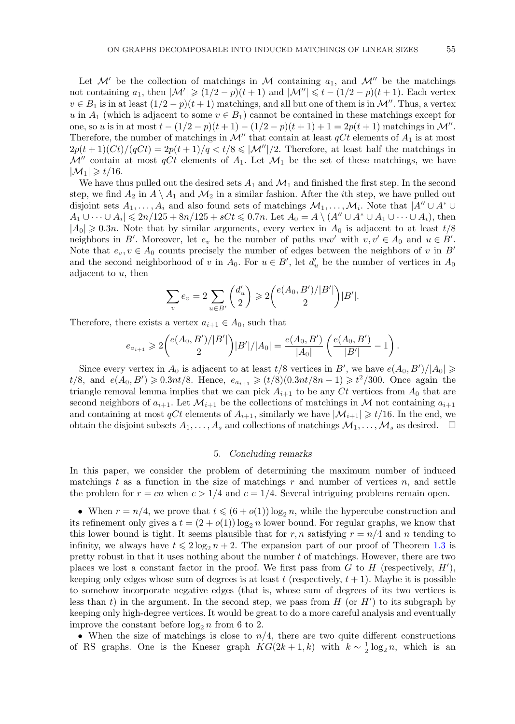Let  $\mathcal{M}'$  be the collection of matchings in  $\mathcal M$  containing  $a_1$ , and  $\mathcal{M}''$  be the matchings not containing  $a_1$ , then  $|\mathcal{M}'| \geq (1/2 - p)(t + 1)$  and  $|\mathcal{M}''| \leq t - (1/2 - p)(t + 1)$ . Each vertex  $v \in B_1$  is in at least  $(1/2 - p)(t + 1)$  matchings, and all but one of them is in  $\mathcal{M}''$ . Thus, a vertex u in  $A_1$  (which is adjacent to some  $v \in B_1$ ) cannot be contained in these matchings except for one, so u is in at most  $t - (1/2 - p)(t + 1) - (1/2 - p)(t + 1) + 1 = 2p(t + 1)$  matchings in M''. Therefore, the number of matchings in  $\mathcal{M}''$  that contain at least  $qCt$  elements of  $A_1$  is at most  $2p(t+1)(Ct)/(qCt) = 2p(t+1)/q < t/8 \leq |\mathcal{M}''|/2$ . Therefore, at least half the matchings in  $\mathcal{M}''$  contain at most qCt elements of  $A_1$ . Let  $\mathcal{M}_1$  be the set of these matchings, we have  $|\mathcal{M}_1| \geq t/16$ .

We have thus pulled out the desired sets  $A_1$  and  $M_1$  and finished the first step. In the second step, we find  $A_2$  in  $A \setminus A_1$  and  $\mathcal{M}_2$  in a similar fashion. After the *i*th step, we have pulled out disjoint sets  $A_1,\ldots,A_i$  and also found sets of matchings  $\mathcal{M}_1,\ldots,\mathcal{M}_i$ . Note that  $|A'' \cup A^* \cup A^*|$  $A_1 \cup \cdots \cup A_i \mid \leqslant 2n/125 + 8n/125 + sCt \leqslant 0.7n$ . Let  $A_0 = A \setminus (A'' \cup A^* \cup A_1 \cup \cdots \cup A_i)$ , then  $|A_0| \geq 0.3n$ . Note that by similar arguments, every vertex in  $A_0$  is adjacent to at least  $t/8$ neighbors in B'. Moreover, let  $e_v$  be the number of paths  $vuv'$  with  $v, v' \in A_0$  and  $u \in B'$ . Note that  $e_v, v \in A_0$  counts precisely the number of edges between the neighbors of v in B' and the second neighborhood of v in  $A_0$ . For  $u \in B'$ , let  $d'_u$  be the number of vertices in  $A_0$ adjacent to  $u$ , then

$$
\sum_{v} e_{v} = 2 \sum_{u \in B'} \binom{d'_{u}}{2} \geqslant 2 \binom{e(A_{0}, B')/|B'|}{2} |B'|.
$$

Therefore, there exists a vertex  $a_{i+1} \in A_0$ , such that

$$
e_{a_{i+1}} \geqslant 2\binom{e(A_0,B')/|B'|}{2}|B'|/|A_0| = \frac{e(A_0,B')}{|A_0|}\left(\frac{e(A_0,B')}{|B'|}-1\right).
$$

Since every vertex in  $A_0$  is adjacent to at least  $t/8$  vertices in B', we have  $e(A_0, B')/|A_0| \ge$ t/8, and  $e(A_0, B') \ge 0.3nt/8$ . Hence,  $e_{a_{i+1}} \ge (t/8)(0.3nt/8n - 1) \ge t^2/300$ . Once again the triangle removal lemma implies that we can pick  $A_{i+1}$  to be any Ct vertices from  $A_0$  that are second neighbors of  $a_{i+1}$ . Let  $\mathcal{M}_{i+1}$  be the collections of matchings in  $\mathcal M$  not containing  $a_{i+1}$ and containing at most  $qCt$  elements of  $A_{i+1}$ , similarly we have  $|\mathcal{M}_{i+1}| \geq t/16$ . In the end, we obtain the disjoint subsets  $A_1, \ldots, A_s$  and collections of matchings  $\mathcal{M}_1, \ldots, \mathcal{M}_s$  as desired.  $\Box$ 

## 5. *Concluding remarks*

In this paper, we consider the problem of determining the maximum number of induced matchings t as a function in the size of matchings r and number of vertices n, and settle the problem for  $r = cn$  when  $c > 1/4$  and  $c = 1/4$ . Several intriguing problems remain open.

• When  $r = n/4$ , we prove that  $t \leq (6 + o(1)) \log_2 n$ , while the hypercube construction and its refinement only gives a  $t = (2 + o(1)) \log_2 n$  lower bound. For regular graphs, we know that this lower bound is tight. It seems plausible that for r, n satisfying  $r = n/4$  and n tending to infinity, we always have  $t \leq 2\log_2 n + 2$ . The expansion part of our proof of Theorem [1.3](#page-1-0) is pretty robust in that it uses nothing about the number t of matchings. However, there are two places we lost a constant factor in the proof. We first pass from  $G$  to  $H$  (respectively,  $H'$ ), keeping only edges whose sum of degrees is at least  $t$  (respectively,  $t + 1$ ). Maybe it is possible to somehow incorporate negative edges (that is, whose sum of degrees of its two vertices is less than t) in the argument. In the second step, we pass from  $H$  (or  $H'$ ) to its subgraph by keeping only high-degree vertices. It would be great to do a more careful analysis and eventually improve the constant before  $\log_2 n$  from 6 to 2.

• When the size of matchings is close to  $n/4$ , there are two quite different constructions of RS graphs. One is the Kneser graph  $KG(2k+1, k)$  with  $k \sim \frac{1}{2} \log_2 n$ , which is an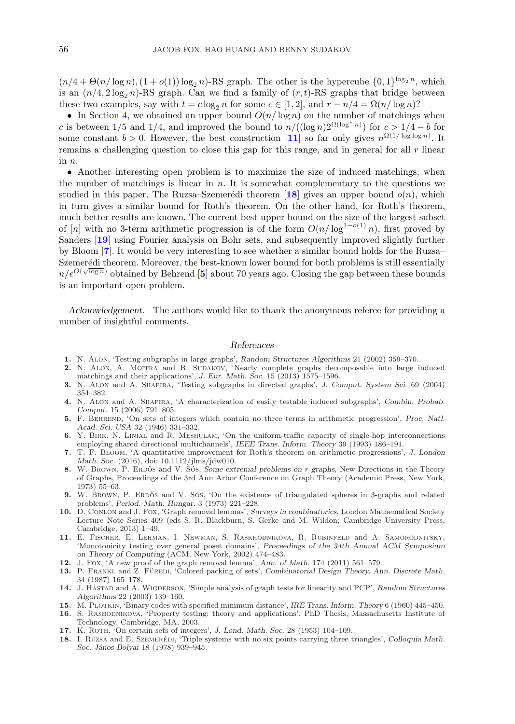<span id="page-11-0"></span> $(n/4 + \Theta(n/\log n), (1 + o(1)) \log_2 n)$ -RS graph. The other is the hypercube  $\{0, 1\}^{\log_2 n}$ , which is an  $(n/4, 2\log_2 n)$ -RS graph. Can we find a family of  $(r, t)$ -RS graphs that bridge between these two examples, say with  $t = c \log_2 n$  for some  $c \in [1, 2]$ , and  $r - n/4 = \Omega(n/\log n)$ ?

• In Section [4,](#page-7-0) we obtained an upper bound  $O(n/\log n)$  on the number of matchings when c is between  $1/5$  and  $1/4$ , and improved the bound to  $n/((\log n)2^{\Omega(\log^* n)})$  for  $c > 1/4 - b$  for some constant  $b > 0$ . However, the best construction [11] so far only gives  $n^{\Omega(1/\log \log n)}$ . It remains a challenging question to close this gap for this range, and in general for all r linear in n.

• Another interesting open problem is to maximize the size of induced matchings, when the number of matchings is linear in  $n$ . It is somewhat complementary to the questions we studied in this paper. The Ruzsa–Szemerédi theorem [18] gives an upper bound  $o(n)$ , which in turn gives a similar bound for Roth's theorem. On the other hand, for Roth's theorem, much better results are known. The current best upper bound on the size of the largest subset of [n] with no 3-term arithmetic progression is of the form  $O(n/\log^{1-o(1)} n)$ , first proved by Sanders [**[19](#page-12-0)**] using Fourier analysis on Bohr sets, and subsequently improved slightly further by Bloom [**7**]. It would be very interesting to see whether a similar bound holds for the Ruzsa– Szemerédi theorem. Moreover, the best-known lower bound for both problems is still essentially  $n/e^{O(\sqrt{\log n})}$  obtained by Behrend [5] about 70 years ago. Closing the gap between these bounds is an important open problem.

*Acknowledgement.* The authors would like to thank the anonymous referee for providing a number of insightful comments.

### *References*

- **1.** N. Alon, 'Testing subgraphs in large graphs', *Random Structures Algorithms* 21 (2002) 359–370.
- 2. N. ALON, A. MOITRA and B. SUDAKOV, 'Nearly complete graphs decomposable into large induced matchings and their applications', *J. Eur. Math. Soc.* 15 (2013) 1575–1596.
- **3.** N. Alon and A. Shapira, 'Testing subgraphs in directed graphs', *J. Comput. System Sci.* 69 (2004) 354–382.
- **4.** N. Alon and A. Shapira, 'A characterization of easily testable induced subgraphs', *Combin. Probab. Comput.* 15 (2006) 791–805.
- **5.** F. Behrend, 'On sets of integers which contain no three terms in arithmetic progression', *Proc. Natl. Acad. Sci. USA* 32 (1946) 331–332.
- **6.** Y. Birk, N. Linial and R. Meshulam, 'On the uniform-traffic capacity of single-hop interconnections employing shared directional multichannels', *IEEE Trans. Inform. Theory* 39 (1993) 186–191.
- **7.** T. F. Bloom, 'A quantitative improvement for Roth's theorem on arithmetic progressions', *J. London Math. Soc.* (2016), doi: 10.1112/jlms/jdw010.
- **8.** W. BROWN, P. ERDOS and V. SOS, *Some extremal problems on r-graphs*, New Directions in the Theory of Graphs, Proceedings of the 3rd Ann Arbor Conference on Graph Theory (Academic Press, New York, 1973) 55–63.
- **9.** W. BROWN, P. ERDOS and V. SOS, 'On the existence of triangulated spheres in 3-graphs and related problems', *Period. Math. Hungar.* 3 (1973) 221–228.
- **10.** D. Conlon and J. Fox, 'Graph removal lemmas', *Surveys in combinatorics*, London Mathematical Society Lecture Note Series 409 (eds S. R. Blackburn, S. Gerke and M. Wildon; Cambridge University Press, Cambridge, 2013) 1–49.
- **11.** E. Fischer, E. Lehman, I. Newman, S. Raskhodnikova, R. Rubinfeld and A. Samorodnitsky, 'Monotonicity testing over general poset domains', *Proceedings of the 34th Annual ACM Symposium on Theory of Computing* (ACM, New York, 2002) 474–483.
- **12.** J. Fox, 'A new proof of the graph removal lemma', *Ann. of Math.* 174 (2011) 561–579.
- 13. P. FRANKL and Z. FÜREDI, 'Colored packing of sets', *Combinatorial Design Theory, Ann. Discrete Math.* 34 (1987) 165–178.
- **14.** J. H˚astad and A. Wigderson, 'Simple analysis of graph tests for linearity and PCP', *Random Structures Algorithms* 22 (2003) 139–160.
- **15.** M. Plotkin, 'Binary codes with specified minimum distance', *IRE Trans. Inform. Theory* 6 (1960) 445–450.
- **16.** S. Rashodnikova, 'Property testing: theory and applications', PhD Thesis, Massachusetts Institute of Technology, Cambridge, MA, 2003.
- **17.** K. Roth, 'On certain sets of integers', *J. Lond. Math. Soc.* 28 (1953) 104–109.
- **18.** I. RUZSA and E. SZEMERÉDI, 'Triple systems with no six points carrying three triangles', *Colloquia Math. Soc. J´anos Bolyai* 18 (1978) 939–945.